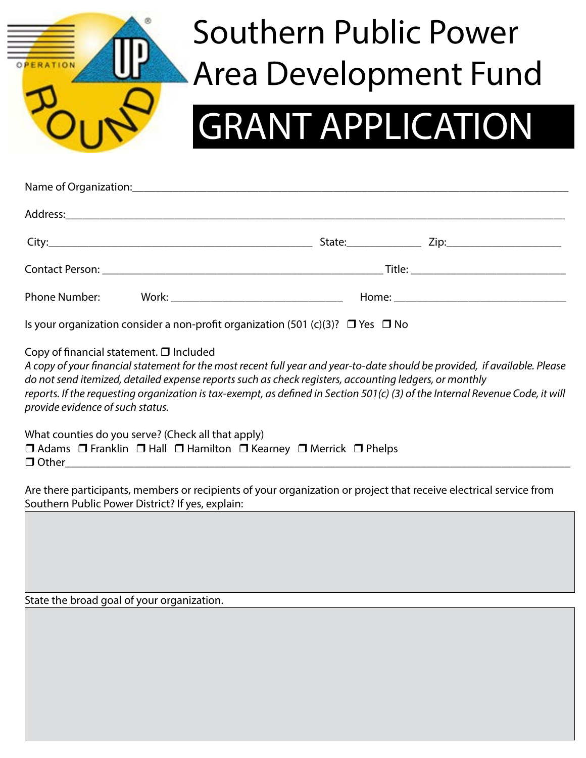

## Southern Public Power Area Development Fund

## GRANT APPLICATION

| Phone Number: |  |  |
|---------------|--|--|

Is your organization consider a non-profit organization (501 (c)(3)?  $\Box$  Yes  $\Box$  No

Copy of financial statement.  $\Box$  Included

*A copy of your financial statement for the most recent full year and year-to-date should be provided, if available. Please do not send itemized, detailed expense reports such as check registers, accounting ledgers, or monthly reports. If the requesting organization is tax-exempt, as defined in Section 501(c) (3) of the Internal Revenue Code, it will provide evidence of such status.*

What counties do you serve? (Check all that apply)  $\Box$  Adams  $\Box$  Franklin  $\Box$  Hall  $\Box$  Hamilton  $\Box$  Kearney  $\Box$  Merrick  $\Box$  Phelps r Other\_\_\_\_\_\_\_\_\_\_\_\_\_\_\_\_\_\_\_\_\_\_\_\_\_\_\_\_\_\_\_\_\_\_\_\_\_\_\_\_\_\_\_\_\_\_\_\_\_\_\_\_\_\_\_\_\_\_\_\_\_\_\_\_\_\_\_\_\_\_\_\_\_\_\_\_\_\_\_\_\_\_\_\_\_\_\_\_

Are there participants, members or recipients of your organization or project that receive electrical service from Southern Public Power District? If yes, explain:

State the broad goal of your organization.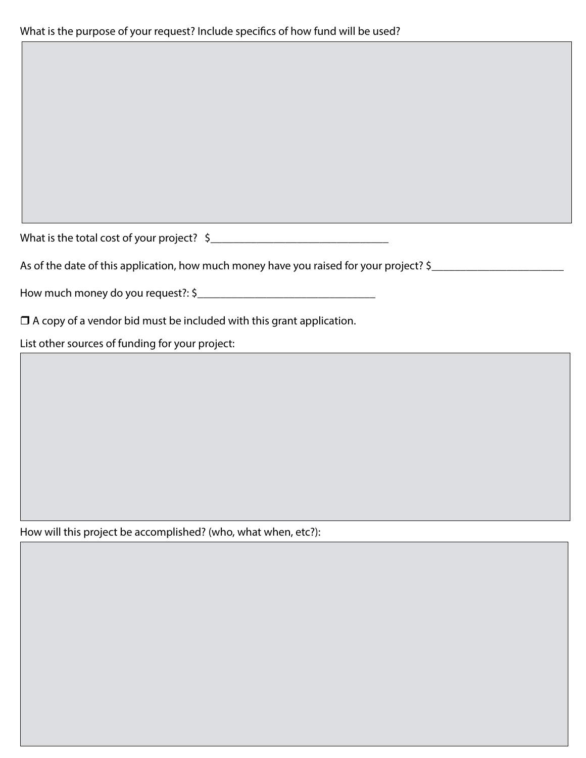What is the total cost of your project?  $\zeta$  \_\_\_\_\_\_\_\_\_\_\_\_\_\_\_\_\_\_\_\_\_\_\_\_\_\_\_\_\_\_\_\_\_\_\_

As of the date of this application, how much money have you raised for your project? \$\_\_\_\_\_\_\_\_\_\_\_\_\_\_\_\_\_\_\_\_\_\_\_\_

How much money do you request?: \$\_\_\_\_\_\_\_\_\_\_\_\_\_\_\_\_\_\_\_\_\_\_\_\_\_\_\_\_\_\_\_

 $\Box$  A copy of a vendor bid must be included with this grant application.

List other sources of funding for your project:

How will this project be accomplished? (who, what when, etc?):